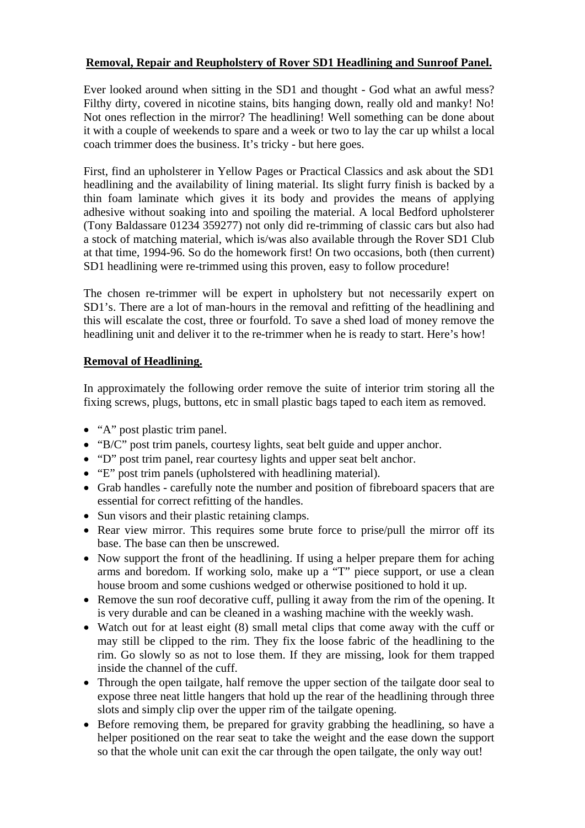### **Removal, Repair and Reupholstery of Rover SD1 Headlining and Sunroof Panel.**

Ever looked around when sitting in the SD1 and thought - God what an awful mess? Filthy dirty, covered in nicotine stains, bits hanging down, really old and manky! No! Not ones reflection in the mirror? The headlining! Well something can be done about it with a couple of weekends to spare and a week or two to lay the car up whilst a local coach trimmer does the business. It's tricky - but here goes.

First, find an upholsterer in Yellow Pages or Practical Classics and ask about the SD1 headlining and the availability of lining material. Its slight furry finish is backed by a thin foam laminate which gives it its body and provides the means of applying adhesive without soaking into and spoiling the material. A local Bedford upholsterer (Tony Baldassare 01234 359277) not only did re-trimming of classic cars but also had a stock of matching material, which is/was also available through the Rover SD1 Club at that time, 1994-96. So do the homework first! On two occasions, both (then current) SD1 headlining were re-trimmed using this proven, easy to follow procedure!

The chosen re-trimmer will be expert in upholstery but not necessarily expert on SD1's. There are a lot of man-hours in the removal and refitting of the headlining and this will escalate the cost, three or fourfold. To save a shed load of money remove the headlining unit and deliver it to the re-trimmer when he is ready to start. Here's how!

## **Removal of Headlining.**

In approximately the following order remove the suite of interior trim storing all the fixing screws, plugs, buttons, etc in small plastic bags taped to each item as removed.

- "A" post plastic trim panel.
- "B/C" post trim panels, courtesy lights, seat belt guide and upper anchor.
- "D" post trim panel, rear courtesy lights and upper seat belt anchor.
- "E" post trim panels (upholstered with headlining material).
- Grab handles carefully note the number and position of fibreboard spacers that are essential for correct refitting of the handles.
- Sun visors and their plastic retaining clamps.
- Rear view mirror. This requires some brute force to prise/pull the mirror off its base. The base can then be unscrewed.
- Now support the front of the headlining. If using a helper prepare them for aching arms and boredom. If working solo, make up a "T" piece support, or use a clean house broom and some cushions wedged or otherwise positioned to hold it up.
- Remove the sun roof decorative cuff, pulling it away from the rim of the opening. It is very durable and can be cleaned in a washing machine with the weekly wash.
- Watch out for at least eight (8) small metal clips that come away with the cuff or may still be clipped to the rim. They fix the loose fabric of the headlining to the rim. Go slowly so as not to lose them. If they are missing, look for them trapped inside the channel of the cuff.
- Through the open tailgate, half remove the upper section of the tailgate door seal to expose three neat little hangers that hold up the rear of the headlining through three slots and simply clip over the upper rim of the tailgate opening.
- Before removing them, be prepared for gravity grabbing the headlining, so have a helper positioned on the rear seat to take the weight and the ease down the support so that the whole unit can exit the car through the open tailgate, the only way out!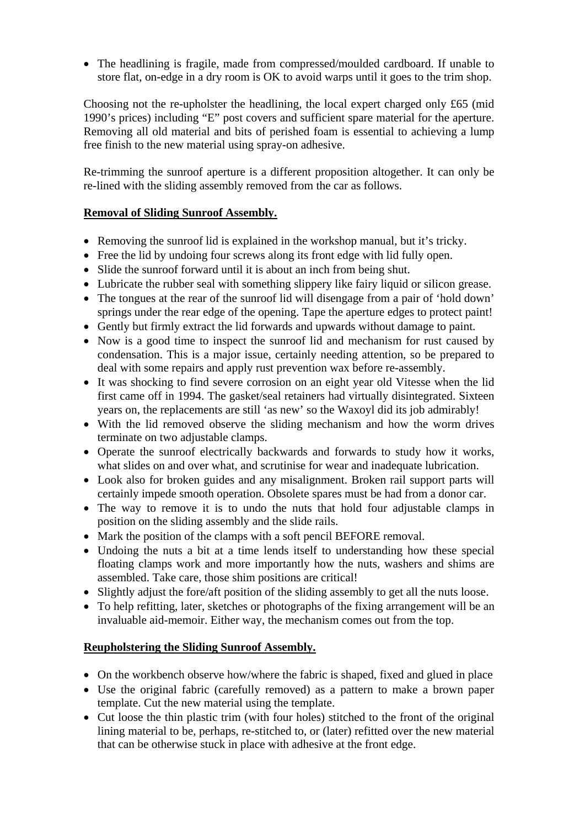• The headlining is fragile, made from compressed/moulded cardboard. If unable to store flat, on-edge in a dry room is OK to avoid warps until it goes to the trim shop.

Choosing not the re-upholster the headlining, the local expert charged only £65 (mid 1990's prices) including "E" post covers and sufficient spare material for the aperture. Removing all old material and bits of perished foam is essential to achieving a lump free finish to the new material using spray-on adhesive.

Re-trimming the sunroof aperture is a different proposition altogether. It can only be re-lined with the sliding assembly removed from the car as follows.

## **Removal of Sliding Sunroof Assembly.**

- Removing the sunroof lid is explained in the workshop manual, but it's tricky.
- Free the lid by undoing four screws along its front edge with lid fully open.
- Slide the sunroof forward until it is about an inch from being shut.
- Lubricate the rubber seal with something slippery like fairy liquid or silicon grease.
- The tongues at the rear of the sunroof lid will disengage from a pair of 'hold down' springs under the rear edge of the opening. Tape the aperture edges to protect paint!
- Gently but firmly extract the lid forwards and upwards without damage to paint.
- Now is a good time to inspect the sunroof lid and mechanism for rust caused by condensation. This is a major issue, certainly needing attention, so be prepared to deal with some repairs and apply rust prevention wax before re-assembly.
- It was shocking to find severe corrosion on an eight year old Vitesse when the lid first came off in 1994. The gasket/seal retainers had virtually disintegrated. Sixteen years on, the replacements are still 'as new' so the Waxoyl did its job admirably!
- With the lid removed observe the sliding mechanism and how the worm drives terminate on two adjustable clamps.
- Operate the sunroof electrically backwards and forwards to study how it works, what slides on and over what, and scrutinise for wear and inadequate lubrication.
- Look also for broken guides and any misalignment. Broken rail support parts will certainly impede smooth operation. Obsolete spares must be had from a donor car.
- The way to remove it is to undo the nuts that hold four adjustable clamps in position on the sliding assembly and the slide rails.
- Mark the position of the clamps with a soft pencil BEFORE removal.
- Undoing the nuts a bit at a time lends itself to understanding how these special floating clamps work and more importantly how the nuts, washers and shims are assembled. Take care, those shim positions are critical!
- Slightly adjust the fore/aft position of the sliding assembly to get all the nuts loose.
- To help refitting, later, sketches or photographs of the fixing arrangement will be an invaluable aid-memoir. Either way, the mechanism comes out from the top.

#### **Reupholstering the Sliding Sunroof Assembly.**

- On the workbench observe how/where the fabric is shaped, fixed and glued in place
- Use the original fabric (carefully removed) as a pattern to make a brown paper template. Cut the new material using the template.
- Cut loose the thin plastic trim (with four holes) stitched to the front of the original lining material to be, perhaps, re-stitched to, or (later) refitted over the new material that can be otherwise stuck in place with adhesive at the front edge.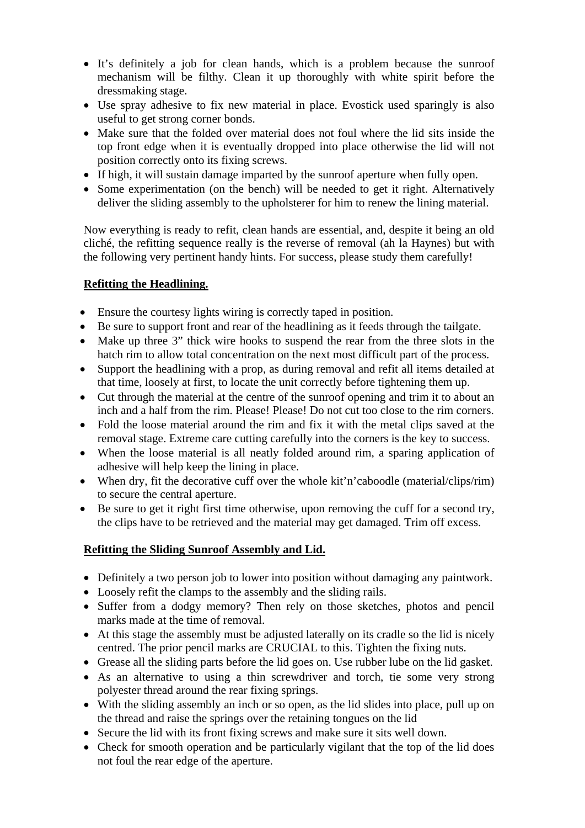- It's definitely a job for clean hands, which is a problem because the sunroof mechanism will be filthy. Clean it up thoroughly with white spirit before the dressmaking stage.
- Use spray adhesive to fix new material in place. Evostick used sparingly is also useful to get strong corner bonds.
- Make sure that the folded over material does not foul where the lid sits inside the top front edge when it is eventually dropped into place otherwise the lid will not position correctly onto its fixing screws.
- If high, it will sustain damage imparted by the sunroof aperture when fully open.
- Some experimentation (on the bench) will be needed to get it right. Alternatively deliver the sliding assembly to the upholsterer for him to renew the lining material.

Now everything is ready to refit, clean hands are essential, and, despite it being an old cliché, the refitting sequence really is the reverse of removal (ah la Haynes) but with the following very pertinent handy hints. For success, please study them carefully!

# **Refitting the Headlining.**

- Ensure the courtesy lights wiring is correctly taped in position.
- Be sure to support front and rear of the headlining as it feeds through the tailgate.
- Make up three 3" thick wire hooks to suspend the rear from the three slots in the hatch rim to allow total concentration on the next most difficult part of the process.
- Support the headlining with a prop, as during removal and refit all items detailed at that time, loosely at first, to locate the unit correctly before tightening them up.
- Cut through the material at the centre of the sunroof opening and trim it to about an inch and a half from the rim. Please! Please! Do not cut too close to the rim corners.
- Fold the loose material around the rim and fix it with the metal clips saved at the removal stage. Extreme care cutting carefully into the corners is the key to success.
- When the loose material is all neatly folded around rim, a sparing application of adhesive will help keep the lining in place.
- When dry, fit the decorative cuff over the whole kit'n'caboodle (material/clips/rim) to secure the central aperture.
- Be sure to get it right first time otherwise, upon removing the cuff for a second try, the clips have to be retrieved and the material may get damaged. Trim off excess.

# **Refitting the Sliding Sunroof Assembly and Lid.**

- Definitely a two person job to lower into position without damaging any paintwork.
- Loosely refit the clamps to the assembly and the sliding rails.
- Suffer from a dodgy memory? Then rely on those sketches, photos and pencil marks made at the time of removal.
- At this stage the assembly must be adjusted laterally on its cradle so the lid is nicely centred. The prior pencil marks are CRUCIAL to this. Tighten the fixing nuts.
- Grease all the sliding parts before the lid goes on. Use rubber lube on the lid gasket.
- As an alternative to using a thin screwdriver and torch, tie some very strong polyester thread around the rear fixing springs.
- With the sliding assembly an inch or so open, as the lid slides into place, pull up on the thread and raise the springs over the retaining tongues on the lid
- Secure the lid with its front fixing screws and make sure it sits well down.
- Check for smooth operation and be particularly vigilant that the top of the lid does not foul the rear edge of the aperture.